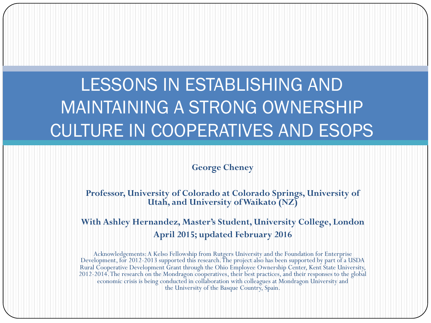### LESSONS IN ESTABLISHING AND MAINTAINING A STRONG OWNERSHIP CULTURE IN COOPERATIVES AND ESOPS

#### **George Cheney**

**Professor, University of Colorado at Colorado Springs, University of Utah, and University of Waikato (NZ)**

#### **With Ashley Hernandez, Master's Student, University College, London April 2015; updated February 2016**

Acknowledgements: A Kelso Fellowship from Rutgers University and the Foundation for Enterprise Development, for 2012-2013 supported this research. The project also has been supported by part of a USDA Rural Cooperative Development Grant through the Ohio Employee Ownership Center, Kent State University, 2012-2014. The research on the Mondragon cooperatives, their best practices, and their responses to the global economic crisis is being conducted in collaboration with colleagues at Mondragon University and the University of the Basque Country, Spain.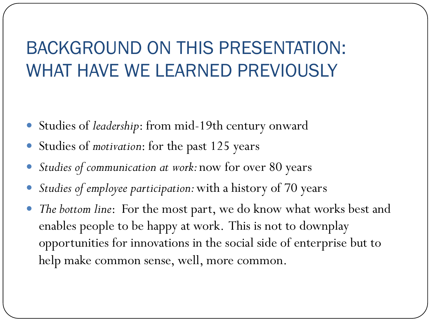#### BACKGROUND ON THIS PRESENTATION: WHAT HAVE WE LEARNED PREVIOUSLY

- Studies of *leadership*: from mid-19th century onward
- Studies of *motivation*: for the past 125 years
- *Studies of communication at work:* now for over 80 years
- *Studies of employee participation:* with a history of 70 years
- *The bottom line*: For the most part, we do know what works best and enables people to be happy at work. This is not to downplay opportunities for innovations in the social side of enterprise but to help make common sense, well, more common.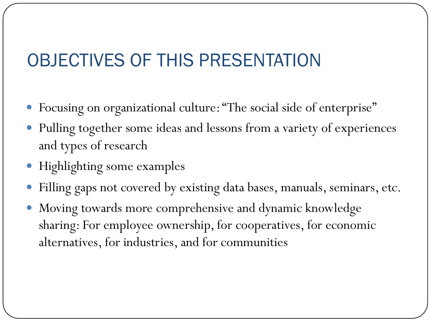#### OBJECTIVES OF THIS PRESENTATION

- Focusing on organizational culture: "The social side of enterprise"
- Pulling together some ideas and lessons from a variety of experiences and types of research
- Highlighting some examples
- Filling gaps not covered by existing data bases, manuals, seminars, etc.
- Moving towards more comprehensive and dynamic knowledge sharing: For employee ownership, for cooperatives, for economic alternatives, for industries, and for communities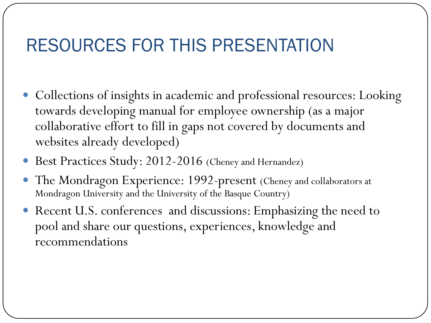#### RESOURCES FOR THIS PRESENTATION

- Collections of insights in academic and professional resources: Looking towards developing manual for employee ownership (as a major collaborative effort to fill in gaps not covered by documents and websites already developed)
- Best Practices Study: 2012-2016 (Cheney and Hernandez)
- The Mondragon Experience: 1992-present (Cheney and collaborators at Mondragon University and the University of the Basque Country)
- Recent U.S. conferences and discussions: Emphasizing the need to pool and share our questions, experiences, knowledge and recommendations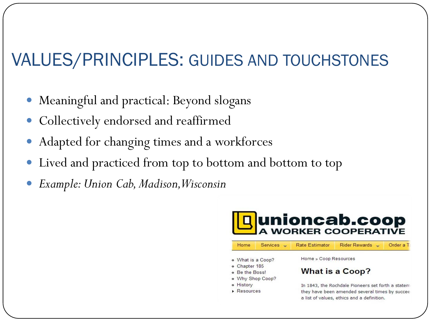#### VALUES/PRINCIPLES: GUIDES AND TOUCHSTONES

- Meaningful and practical: Beyond slogans
- Collectively endorsed and reaffirmed
- Adapted for changing times and a workforces
- Lived and practiced from top to bottom and bottom to top
- *Example: Union Cab, Madison, Wisconsin*

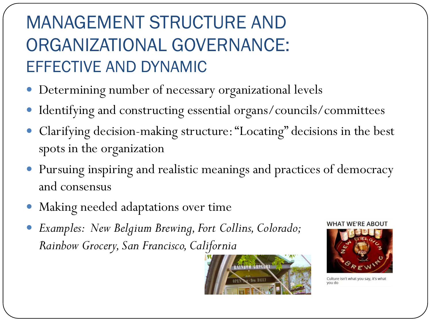### MANAGEMENT STRUCTURE AND ORGANIZATIONAL GOVERNANCE: EFFECTIVE AND DYNAMIC

- Determining number of necessary organizational levels
- Identifying and constructing essential organs/councils/committees
- Clarifying decision-making structure: "Locating" decisions in the best spots in the organization
- Pursuing inspiring and realistic meanings and practices of democracy and consensus
- Making needed adaptations over time
- *Examples: New Belgium Brewing, Fort Collins, Colorado; Rainbow Grocery, San Francisco, California*



**WHAT WE'RE ABOUT** 



Culture isn't what you say, it's what ob uov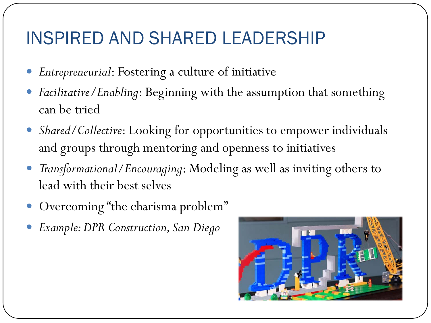#### INSPIRED AND SHARED LEADERSHIP

- *Entrepreneurial*: Fostering a culture of initiative
- *Facilitative/Enabling*: Beginning with the assumption that something can be tried
- *Shared/Collective*: Looking for opportunities to empower individuals and groups through mentoring and openness to initiatives
- *Transformational/Encouraging*: Modeling as well as inviting others to lead with their best selves
- Overcoming "the charisma problem"
- *Example: DPR Construction, San Diego*

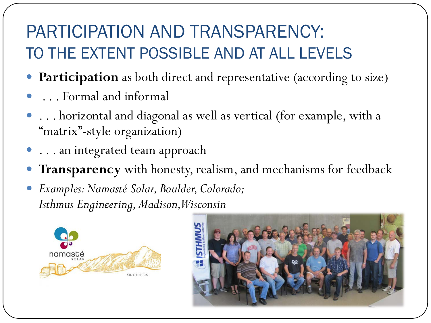#### PARTICIPATION AND TRANSPARENCY: TO THE EXTENT POSSIBLE AND AT ALL LEVELS

- **Participation** as both direct and representative (according to size)
- . . . Formal and informal
- . . . horizontal and diagonal as well as vertical (for example, with a "matrix"-style organization)
- $\bullet$  ... an integrated team approach
- **Transparency** with honesty, realism, and mechanisms for feedback
- *Examples: Namasté Solar, Boulder, Colorado; Isthmus Engineering, Madison, Wisconsin*



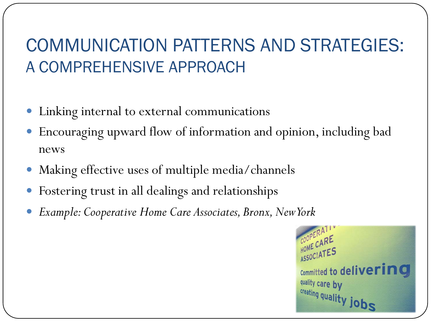#### COMMUNICATION PATTERNS AND STRATEGIES: A COMPREHENSIVE APPROACH

- Linking internal to external communications
- Encouraging upward flow of information and opinion, including bad news
- Making effective uses of multiple media/channels
- Fostering trust in all dealings and relationships
- *Example: Cooperative Home Care Associates, Bronx, New York*

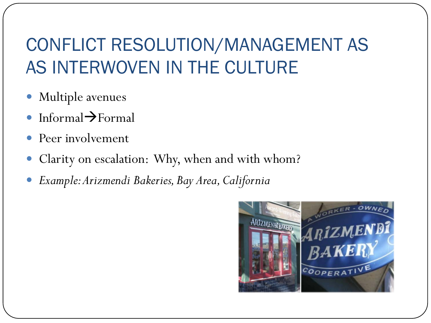#### CONFLICT RESOLUTION/MANAGEMENT AS AS INTERWOVEN IN THE CULTURE

- Multiple avenues
- Informal $\rightarrow$ Formal
- Peer involvement
- Clarity on escalation: Why, when and with whom?
- *Example: Arizmendi Bakeries, Bay Area, California*

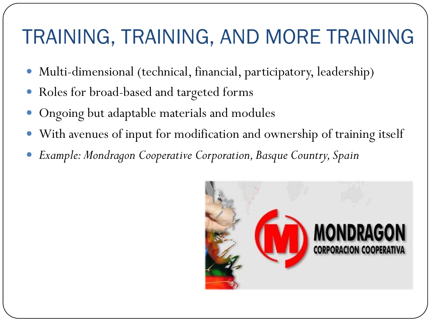## TRAINING, TRAINING, AND MORE TRAINING

- Multi-dimensional (technical, financial, participatory, leadership)
- Roles for broad-based and targeted forms
- Ongoing but adaptable materials and modules
- With avenues of input for modification and ownership of training itself
- *Example: Mondragon Cooperative Corporation, Basque Country, Spain*

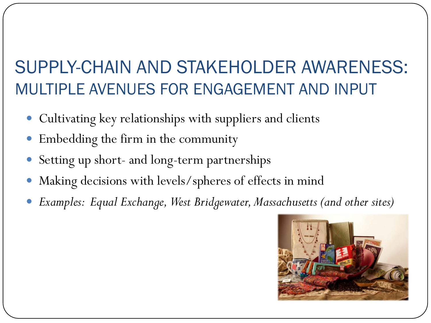#### SUPPLY-CHAIN AND STAKEHOLDER AWARENESS: MULTIPLE AVENUES FOR ENGAGEMENT AND INPUT

- Cultivating key relationships with suppliers and clients
- Embedding the firm in the community
- Setting up short- and long-term partnerships
- Making decisions with levels/spheres of effects in mind
- *Examples: Equal Exchange, West Bridgewater, Massachusetts (and other sites)*

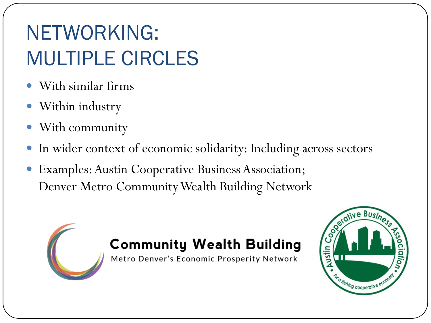## NETWORKING: MULTIPLE CIRCLES

- With similar firms
- Within industry
- With community
- In wider context of economic solidarity: Including across sectors
- Examples: Austin Cooperative Business Association; Denver Metro Community Wealth Building Network

#### **Community Wealth Building**

Metro Denver's Economic Prosperity Network

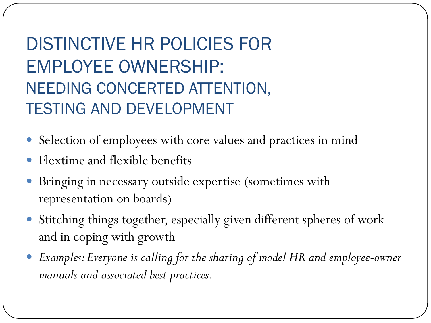DISTINCTIVE HR POLICIES FOR EMPLOYEE OWNERSHIP: NEEDING CONCERTED ATTENTION, TESTING AND DEVELOPMENT

- Selection of employees with core values and practices in mind
- Flextime and flexible benefits
- Bringing in necessary outside expertise (sometimes with representation on boards)
- Stitching things together, especially given different spheres of work and in coping with growth
- *Examples: Everyone is calling for the sharing of model HR and employee-owner manuals and associated best practices.*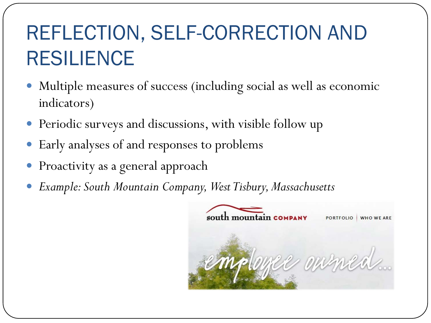## REFLECTION, SELF-CORRECTION AND RESILIENCE

- Multiple measures of success (including social as well as economic indicators)
- Periodic surveys and discussions, with visible follow up
- Early analyses of and responses to problems
- Proactivity as a general approach
- *Example: South Mountain Company, West Tisbury, Massachusetts*